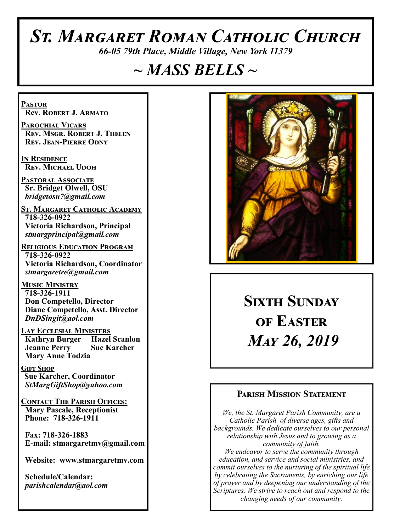# *St. Margaret Roman Catholic Church*

*66-05 79th Place, Middle Village, New York 11379*

# *~ MASS BELLS ~*

**Pastor Rev. Robert J. Armato**

**Parochial Vicars Rev. Msgr. Robert J. Thelen Rev. Jean-Pierre Odny**

**In Residence Rev. Michael Udoh**

**Pastoral Associate Sr. Bridget Olwell, OSU**  *bridgetosu7@gmail.com*

**St. Margaret Catholic Academy 718-326-0922 Victoria Richardson, Principal**  *stmargprincipal@gmail.com*

**Religious Education Program 718-326-0922 Victoria Richardson, Coordinator** *stmargaretre@gmail.com*

**Music Ministry 718-326-1911 Don Competello, Director Diane Competello, Asst. Director** *DnDSingit@aol.com*

**Lay Ecclesial Ministers Kathryn Burger Jeanne Perry Sue Karcher Mary Anne Todzia**

**Gift Shop Sue Karcher, Coordinator** *StMargGiftShop@yahoo.com*

**Contact The Parish Offices: Mary Pascale, Receptionist Phone: 718-326-1911** 

 **Fax: 718-326-1883 E-mail: stmargaretmv@gmail.com**

 **Website: www.stmargaretmv.com**

 **Schedule/Calendar:** *parishcalendar@aol.com* 



# **Sixth Sunday of Easter** *May 26, 2019*

#### **Parish Mission Statement**

*We, the St. Margaret Parish Community, are a Catholic Parish of diverse ages, gifts and backgrounds. We dedicate ourselves to our personal relationship with Jesus and to growing as a community of faith. We endeavor to serve the community through education, and service and social ministries, and commit ourselves to the nurturing of the spiritual life by celebrating the Sacraments, by enriching our life of prayer and by deepening our understanding of the Scriptures. We strive to reach out and respond to the changing needs of our community.*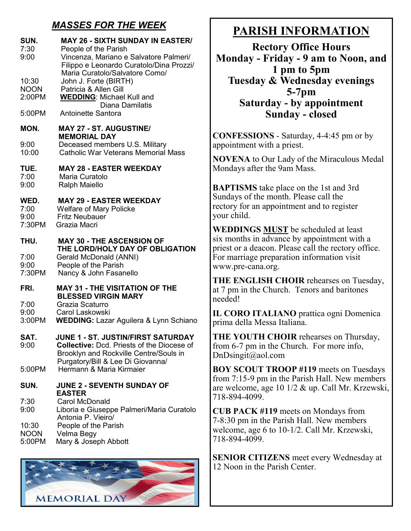### *MASSES FOR THE WEEK*

| SUN.<br>7:30<br>9:00<br>10:30<br><b>NOON</b><br>2:00PM<br>5:00PM | <b>MAY 26 - SIXTH SUNDAY IN EASTER/</b><br>People of the Parish<br>Vincenza, Mariano e Salvatore Palmeri/<br>Filippo e Leonardo Curatolo/Dina Prozzi/<br>Maria Curatolo/Salvatore Como/<br>John J. Forte (BIRTH)<br>Patricia & Allen Gill<br><b>WEDDING: Michael Kull and</b><br><b>Diana Damilatis</b><br>Antoinette Santora |
|------------------------------------------------------------------|-------------------------------------------------------------------------------------------------------------------------------------------------------------------------------------------------------------------------------------------------------------------------------------------------------------------------------|
|                                                                  |                                                                                                                                                                                                                                                                                                                               |
| MON.<br>9:00<br>10:00                                            | <b>MAY 27 - ST. AUGUSTINE/</b><br><b>MEMORIAL DAY</b><br>Deceased members U.S. Military<br><b>Catholic War Veterans Memorial Mass</b>                                                                                                                                                                                         |
| TUE.<br>7:00<br>9:00                                             | <b>MAY 28 - EASTER WEEKDAY</b><br>Maria Curatolo<br><b>Ralph Maiello</b>                                                                                                                                                                                                                                                      |
| WED.<br>7:00<br>9:00<br>7:30PM                                   | <b>MAY 29 - EASTER WEEKDAY</b><br><b>Welfare of Mary Policke</b><br><b>Fritz Neubauer</b><br>Grazia Macri                                                                                                                                                                                                                     |
| THU.<br>7:00<br>9:00<br>7:30PM                                   | <b>MAY 30 - THE ASCENSION OF</b><br>THE LORD/HOLY DAY OF OBLIGATION<br>Gerald McDonald (ANNI)<br>People of the Parish<br>Nancy & John Fasanello                                                                                                                                                                               |
| FRI.<br>7:00<br>9:00<br>3:00PM                                   | <b>MAY 31 - THE VISITATION OF THE</b><br><b>BLESSED VIRGIN MARY</b><br>Grazia Scaturro<br>Carol Laskowski<br><b>WEDDING: Lazar Aguilera &amp; Lynn Schiano</b>                                                                                                                                                                |
| SAT.<br>9:00<br>5:00PM                                           | JUNE 1 - ST. JUSTIN/FIRST SATURDAY<br><b>Collective: Dcd. Priests of the Diocese of</b><br>Brooklyn and Rockville Centre/Souls in<br>Purgatory/Bill & Lee Di Giovanna/<br>Hermann & Maria Kirmaier                                                                                                                            |
|                                                                  |                                                                                                                                                                                                                                                                                                                               |
| SUN.<br>7:30<br>9:00<br>10:30<br><b>NOON</b><br>5:00PM           | <b>JUNE 2 - SEVENTH SUNDAY OF</b><br><b>EASTER</b><br><b>Carol McDonald</b><br>Liboria e Giuseppe Palmeri/Maria Curatolo<br>Antonia P. Vieiro/<br>People of the Parish<br>Velma Begy<br>Mary & Joseph Abbott                                                                                                                  |



## **PARISH INFORMATION**

**Rectory Office Hours Monday - Friday - 9 am to Noon, and 1 pm to 5pm Tuesday & Wednesday evenings 5-7pm Saturday - by appointment Sunday - closed**

**CONFESSIONS** - Saturday, 4-4:45 pm or by appointment with a priest.

**NOVENA** to Our Lady of the Miraculous Medal Mondays after the 9am Mass.

**BAPTISMS** take place on the 1st and 3rd Sundays of the month. Please call the rectory for an appointment and to register your child.

**WEDDINGS MUST** be scheduled at least six months in advance by appointment with a priest or a deacon. Please call the rectory office. For marriage preparation information visit www.pre-cana.org.

**THE ENGLISH CHOIR** rehearses on Tuesday, at 7 pm in the Church. Tenors and baritones needed!

**IL CORO ITALIANO** prattica ogni Domenica prima della Messa Italiana.

**THE YOUTH CHOIR** rehearses on Thursday, from 6-7 pm in the Church. For more info, DnDsingit@aol.com

**BOY SCOUT TROOP #119** meets on Tuesdays from 7:15-9 pm in the Parish Hall. New members are welcome, age 10 1/2 & up. Call Mr. Krzewski, 718-894-4099.

**CUB PACK #119** meets on Mondays from 7-8:30 pm in the Parish Hall. New members welcome, age 6 to 10-1/2. Call Mr. Krzewski, 718-894-4099.

**SENIOR CITIZENS** meet every Wednesday at 12 Noon in the Parish Center.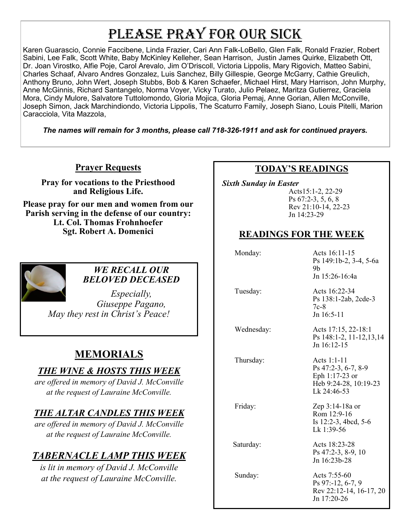# PLEASE PRAY FOR OUR SICK

Karen Guarascio, Connie Faccibene, Linda Frazier, Cari Ann Falk-LoBello, Glen Falk, Ronald Frazier, Robert Sabini, Lee Falk, Scott White, Baby McKinley Kelleher, Sean Harrison, Justin James Quirke, Elizabeth Ott, Dr. Joan Virostko, Alfie Poje, Carol Arevalo, Jim O'Driscoll, Victoria Lippolis, Mary Rigovich, Matteo Sabini, Charles Schaaf, Alvaro Andres Gonzalez, Luis Sanchez, Billy Gillespie, George McGarry, Cathie Greulich, Anthony Bruno, John Wert, Joseph Stubbs, Bob & Karen Schaefer, Michael Hirst, Mary Harrison, John Murphy, Anne McGinnis, Richard Santangelo, Norma Voyer, Vicky Turato, Julio Pelaez, Maritza Gutierrez, Graciela Mora, Cindy Mulore, Salvatore Tuttolomondo, Gloria Mojica, Gloria Pemaj, Anne Gorian, Allen McConville, Joseph Simon, Jack Marchindiondo, Victoria Lippolis, The Scaturro Family, Joseph Siano, Louis Pitelli, Marion Caracciola, Vita Mazzola,

*The names will remain for 3 months, please call 718-326-1911 and ask for continued prayers.*

#### **Prayer Requests**

**Pray for vocations to the Priesthood and Religious Life.** 

**Please pray for our men and women from our Parish serving in the defense of our country: Lt. Col. Thomas Frohnhoefer Sgt. Robert A. Domenici** 



#### *WE RECALL OUR BELOVED DECEASED*

*Especially, Giuseppe Pagano, May they rest in Christ's Peace!*

## **MEMORIALS**

#### *THE WINE & HOSTS THIS WEEK*

*are offered in memory of David J. McConville at the request of Lauraine McConville.*

#### *THE ALTAR CANDLES THIS WEEK*

*are offered in memory of David J. McConville at the request of Lauraine McConville.*

## *TABERNACLE LAMP THIS WEEK*

*is lit in memory of David J. McConville at the request of Lauraine McConville.* 

#### **TODAY'S READINGS**

 *Sixth Sunday in Easter*

Acts15:1-2, 22-29 Ps 67:2-3, 5, 6, 8 Rev 21:10-14, 22-23 Jn 14:23-29

#### **READINGS FOR THE WEEK**

Monday: Acts 16:11-15

| $ACIS$ $10:11-1.5$     |
|------------------------|
| Ps 149:1b-2, 3-4, 5-6a |
| 9h                     |
| Jn 15:26-16:4a         |
|                        |

 Tuesday: Acts 16:22-34 Ps 138:1-2ab, 2cde-3 7c-8

Jn 16:5-11

 Wednesday: Acts 17:15, 22-18:1 Ps 148:1-2, 11-12,13,14 Jn 16:12-15

Thursday: Acts 1:1-11

Ps 47:2-3, 6-7, 8-9 Eph 1:17-23 or Heb 9:24-28, 10:19-23 Lk 24:46-53

Friday: Zep 3:14-18a or Rom 12:9-16 Is 12:2-3, 4bcd, 5-6 Lk 1:39-56

Saturday: Acts 18:23-28 Ps 47:2-3, 8-9, 10 Jn 16:23b-28

 Sunday: Acts 7:55-60 Ps 97:-12, 6-7, 9 Rev 22:12-14, 16-17, 20 Jn 17:20-26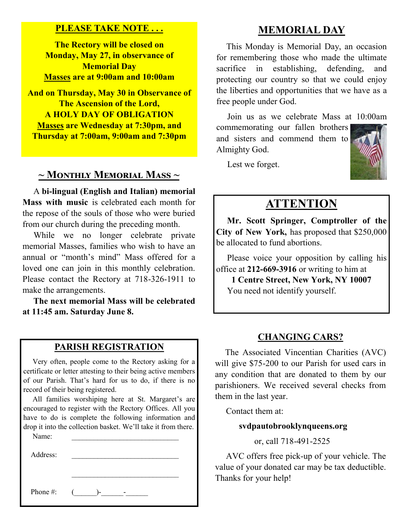#### **PLEASE TAKE NOTE . . .**

**The Rectory will be closed on Monday, May 27, in observance of Memorial Day Masses are at 9:00am and 10:00am**

**And on Thursday, May 30 in Observance of The Ascension of the Lord, A HOLY DAY OF OBLIGATION Masses are Wednesday at 7:30pm, and Thursday at 7:00am, 9:00am and 7:30pm**

#### **~ Monthly Memorial Mass ~**

 A **bi-lingual (English and Italian) memorial Mass with music** is celebrated each month for the repose of the souls of those who were buried from our church during the preceding month.

While we no longer celebrate private memorial Masses, families who wish to have an annual or "month's mind" Mass offered for a loved one can join in this monthly celebration. Please contact the Rectory at 718-326-1911 to make the arrangements.

 **The next memorial Mass will be celebrated at 11:45 am. Saturday June 8.** 

#### **PARISH REGISTRATION**

 Very often, people come to the Rectory asking for a certificate or letter attesting to their being active members of our Parish. That's hard for us to do, if there is no record of their being registered.

 All families worshiping here at St. Margaret's are encouraged to register with the Rectory Offices. All you have to do is complete the following information and drop it into the collection basket. We'll take it from there.

\_\_\_\_\_\_\_\_\_\_\_\_\_\_\_\_\_\_\_\_\_\_\_\_\_\_\_\_\_

Name:

Address:

Phone #:  $($   $)$ -  $-$ 

#### **MEMORIAL DAY**

 This Monday is Memorial Day, an occasion for remembering those who made the ultimate sacrifice in establishing, defending, and protecting our country so that we could enjoy the liberties and opportunities that we have as a free people under God.

 Join us as we celebrate Mass at 10:00am commemorating our fallen brothers and sisters and commend them to

Lest we forget.

Almighty God.



### **ATTENTION**

 **Mr. Scott Springer, Comptroller of the City of New York,** has proposed that \$250,000 be allocated to fund abortions.

 Please voice your opposition by calling his office at **212-669-3916** or writing to him at

**1 Centre Street, New York, NY 10007** You need not identify yourself.

#### **CHANGING CARS?**

 The Associated Vincentian Charities (AVC) will give \$75-200 to our Parish for used cars in any condition that are donated to them by our parishioners. We received several checks from them in the last year.

Contact them at:

#### **svdpautobrooklynqueens.org**

or, call 718-491-2525

 AVC offers free pick-up of your vehicle. The value of your donated car may be tax deductible. Thanks for your help!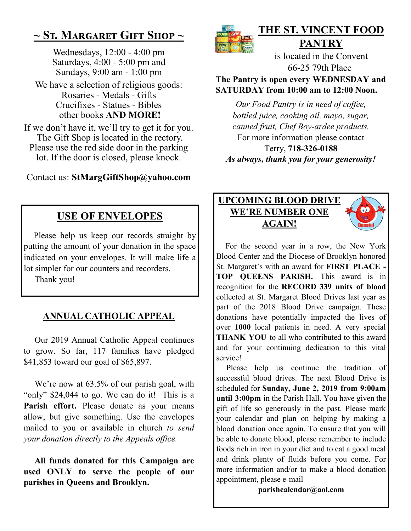## **~ St. Margaret Gift Shop ~**

Wednesdays, 12:00 - 4:00 pm Saturdays, 4:00 - 5:00 pm and Sundays, 9:00 am - 1:00 pm

We have a selection of religious goods: Rosaries - Medals - Gifts Crucifixes - Statues - Bibles other books **AND MORE!**

If we don't have it, we'll try to get it for you. The Gift Shop is located in the rectory. Please use the red side door in the parking lot. If the door is closed, please knock.

Contact us: **StMargGiftShop@yahoo.com**

## **USE OF ENVELOPES**

 Please help us keep our records straight by putting the amount of your donation in the space indicated on your envelopes. It will make life a lot simpler for our counters and recorders.

Thank you!

## **ANNUAL CATHOLIC APPEAL**

 Our 2019 Annual Catholic Appeal continues to grow. So far, 117 families have pledged \$41,853 toward our goal of \$65,897.

We're now at  $63.5\%$  of our parish goal, with "only" \$24,044 to go. We can do it! This is a Parish effort. Please donate as your means allow, but give something. Use the envelopes mailed to you or available in church *to send your donation directly to the Appeals office.* 

 **All funds donated for this Campaign are used ONLY to serve the people of our parishes in Queens and Brooklyn.** 



## **THE ST. VINCENT FOOD PANTRY**

is located in the Convent 66-25 79th Place

**The Pantry is open every WEDNESDAY and SATURDAY from 10:00 am to 12:00 Noon.**

*Our Food Pantry is in need of coffee, bottled juice, cooking oil, mayo, sugar, canned fruit, Chef Boy-ardee products.* For more information please contact Terry, **718-326-0188** *As always, thank you for your generosity!*



 For the second year in a row, the New York Blood Center and the Diocese of Brooklyn honored St. Margaret's with an award for **FIRST PLACE - TOP QUEENS PARISH.** This award is in recognition for the **RECORD 339 units of blood**  collected at St. Margaret Blood Drives last year as part of the 2018 Blood Drive campaign. These donations have potentially impacted the lives of over **1000** local patients in need. A very special **THANK YOU** to all who contributed to this award and for your continuing dedication to this vital service!

Please help us continue the tradition of successful blood drives. The next Blood Drive is scheduled for **Sunday, June 2, 2019 from 9:00am until 3:00pm** in the Parish Hall. You have given the gift of life so generously in the past. Please mark your calendar and plan on helping by making a blood donation once again. To ensure that you will be able to donate blood, please remember to include foods rich in iron in your diet and to eat a good meal and drink plenty of fluids before you come. For more information and/or to make a blood donation appointment, please e-mail

**parishcalendar@aol.com**